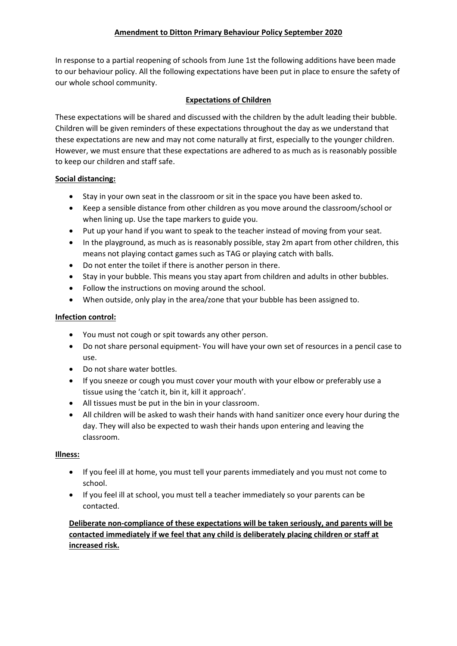In response to a partial reopening of schools from June 1st the following additions have been made to our behaviour policy. All the following expectations have been put in place to ensure the safety of our whole school community.

# **Expectations of Children**

These expectations will be shared and discussed with the children by the adult leading their bubble. Children will be given reminders of these expectations throughout the day as we understand that these expectations are new and may not come naturally at first, especially to the younger children. However, we must ensure that these expectations are adhered to as much as is reasonably possible to keep our children and staff safe.

## **Social distancing:**

- Stay in your own seat in the classroom or sit in the space you have been asked to.
- Keep a sensible distance from other children as you move around the classroom/school or when lining up. Use the tape markers to guide you.
- Put up your hand if you want to speak to the teacher instead of moving from your seat.
- In the playground, as much as is reasonably possible, stay 2m apart from other children, this means not playing contact games such as TAG or playing catch with balls.
- Do not enter the toilet if there is another person in there.
- Stay in your bubble. This means you stay apart from children and adults in other bubbles.
- Follow the instructions on moving around the school.
- When outside, only play in the area/zone that your bubble has been assigned to.

### **Infection control:**

- You must not cough or spit towards any other person.
- Do not share personal equipment- You will have your own set of resources in a pencil case to use.
- Do not share water bottles.
- If you sneeze or cough you must cover your mouth with your elbow or preferably use a tissue using the 'catch it, bin it, kill it approach'.
- All tissues must be put in the bin in your classroom.
- All children will be asked to wash their hands with hand sanitizer once every hour during the day. They will also be expected to wash their hands upon entering and leaving the classroom.

## **Illness:**

- If you feel ill at home, you must tell your parents immediately and you must not come to school.
- If you feel ill at school, you must tell a teacher immediately so your parents can be contacted.

# **Deliberate non-compliance of these expectations will be taken seriously, and parents will be contacted immediately if we feel that any child is deliberately placing children or staff at increased risk.**